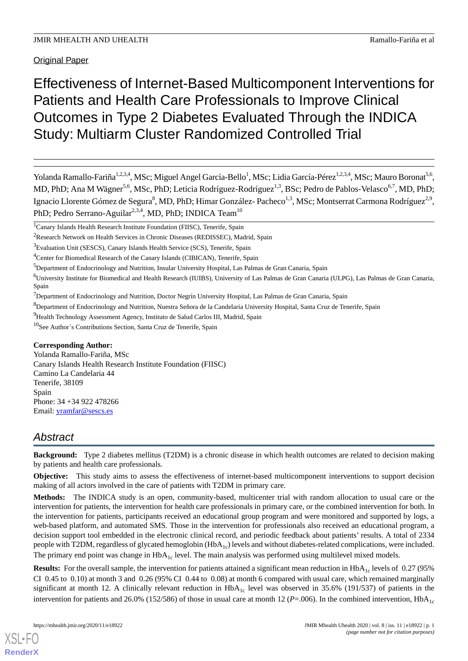Original Paper

# Effectiveness of Internet-Based Multicomponent Interventions for Patients and Health Care Professionals to Improve Clinical Outcomes in Type 2 Diabetes Evaluated Through the INDICA Study: Multiarm Cluster Randomized Controlled Trial

Yolanda Ramallo-Fariña<sup>1,2,3,4</sup>, MSc; Miguel Angel García-Bello<sup>1</sup>, MSc; Lidia García-Pérez<sup>1,2,3,4</sup>, MSc; Mauro Boronat<sup>5,6</sup>, MD, PhD; Ana M Wägner<sup>5,6</sup>, MSc, PhD; Leticia Rodríguez-Rodríguez<sup>1,3</sup>, BSc; Pedro de Pablos-Velasco<sup>6,7</sup>, MD, PhD; Ignacio Llorente Gómez de Segura<sup>8</sup>, MD, PhD; Himar González- Pacheco<sup>1,3</sup>, MSc; Montserrat Carmona Rodríguez<sup>2,9</sup>, PhD; Pedro Serrano-Aguilar<sup>2,3,4</sup>, MD, PhD; INDICA Team<sup>10</sup>

<sup>1</sup>Canary Islands Health Research Institute Foundation (FIISC), Tenerife, Spain

<sup>2</sup>Research Network on Health Services in Chronic Diseases (REDISSEC), Madrid, Spain

<sup>4</sup>Center for Biomedical Research of the Canary Islands (CIBICAN), Tenerife, Spain

<sup>5</sup>Department of Endocrinology and Nutrition, Insular University Hospital, Las Palmas de Gran Canaria, Spain

<sup>6</sup>University Institute for Biomedical and Health Research (IUIBS), University of Las Palmas de Gran Canaria (ULPG), Las Palmas de Gran Canaria, Spain

 $<sup>7</sup>$ Department of Endocrinology and Nutrition, Doctor Negrín University Hospital, Las Palmas de Gran Canaria, Spain</sup>

<sup>8</sup>Department of Endocrinology and Nutrition, Nuestra Señora de la Candelaria University Hospital, Santa Cruz de Tenerife, Spain

<sup>9</sup>Health Technology Assessment Agency, Instituto de Salud Carlos III, Madrid, Spain

<sup>10</sup>See Author´s Contributions Section, Santa Cruz de Tenerife, Spain

#### **Corresponding Author:**

Yolanda Ramallo-Fariña, MSc Canary Islands Health Research Institute Foundation (FIISC) Camino La Candelaria 44 Tenerife, 38109 Spain Phone: 34 +34 922 478266 Email: yramfar@sescs.es

# *Abstract*

**Background:** Type 2 diabetes mellitus (T2DM) is a chronic disease in which health outcomes are related to decision making by patients and health care professionals.

**Objective:** This study aims to assess the effectiveness of internet-based multicomponent interventions to support decision making of all actors involved in the care of patients with T2DM in primary care.

**Methods:** The INDICA study is an open, community-based, multicenter trial with random allocation to usual care or the intervention for patients, the intervention for health care professionals in primary care, or the combined intervention for both. In the intervention for patients, participants received an educational group program and were monitored and supported by logs, a web-based platform, and automated SMS. Those in the intervention for professionals also received an educational program, a decision support tool embedded in the electronic clinical record, and periodic feedback about patients' results. A total of 2334 people with T2DM, regardless of glycated hemoglobin  $(HbA_{1c})$  levels and without diabetes-related complications, were included. The primary end point was change in  $HbA_{1c}$  level. The main analysis was performed using multilevel mixed models.

**Results:** For the overall sample, the intervention for patients attained a significant mean reduction in  $HbA_{1c}$  levels of 0.27 (95%) CI 0.45 to 0.10) at month 3 and 0.26 (95% CI 0.44 to 0.08) at month 6 compared with usual care, which remained marginally significant at month 12. A clinically relevant reduction in  $HbA_{1c}$  level was observed in 35.6% (191/537) of patients in the intervention for patients and 26.0% (152/586) of those in usual care at month 12 ( $P=0.06$ ). In the combined intervention,  $HbA<sub>1c</sub>$ 

<sup>&</sup>lt;sup>3</sup>Evaluation Unit (SESCS), Canary Islands Health Service (SCS), Tenerife, Spain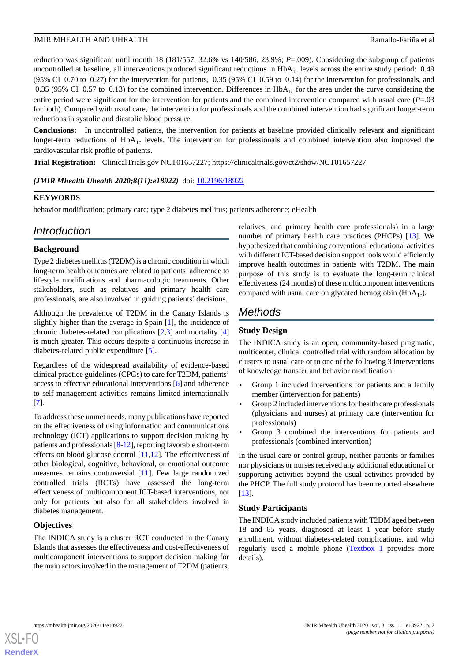reduction was significant until month 18 (181/557, 32.6% vs 140/586, 23.9%; *P*=.009). Considering the subgroup of patients uncontrolled at baseline, all interventions produced significant reductions in HbA<sub>1c</sub> levels across the entire study period: 0.49 (95% CI 0.70 to 0.27) for the intervention for patients, 0.35 (95% CI 0.59 to 0.14) for the intervention for professionals, and 0.35 (95% CI 0.57 to 0.13) for the combined intervention. Differences in  $HbA<sub>1c</sub>$  for the area under the curve considering the entire period were significant for the intervention for patients and the combined intervention compared with usual care (*P*=.03 for both). Compared with usual care, the intervention for professionals and the combined intervention had significant longer-term reductions in systolic and diastolic blood pressure.

**Conclusions:** In uncontrolled patients, the intervention for patients at baseline provided clinically relevant and significant longer-term reductions of  $HbA_{1c}$  levels. The intervention for professionals and combined intervention also improved the cardiovascular risk profile of patients.

**Trial Registration:** ClinicalTrials.gov NCT01657227; https://clinicaltrials.gov/ct2/show/NCT01657227

# (JMIR Mhealth Uhealth 2020;8(11):e18922) doi: 10.2196/18922

# **KEYWORDS**

behavior modification; primary care; type 2 diabetes mellitus; patients adherence; eHealth

# *Introduction*

# **Background**

Type 2 diabetes mellitus (T2DM) is a chronic condition in which long-term health outcomes are related to patients' adherence to lifestyle modifications and pharmacologic treatments. Other stakeholders, such as relatives and primary health care professionals, are also involved in guiding patients' decisions.

Although the prevalence of T2DM in the Canary Islands is slightly higher than the average in Spain [1], the incidence of chronic diabetes-related complications [2,3] and mortality [4] is much greater. This occurs despite a continuous increase in diabetes-related public expenditure [5].

Regardless of the widespread availability of evidence-based clinical practice guidelines (CPGs) to care for T2DM, patients' access to effective educational interventions [6] and adherence to self-management activities remains limited internationally [7].

To address these unmet needs, many publications have reported on the effectiveness of using information and communications technology (ICT) applications to support decision making by patients and professionals [8-12], reporting favorable short-term effects on blood glucose control [11,12]. The effectiveness of other biological, cognitive, behavioral, or emotional outcome measures remains controversial [11]. Few large randomized controlled trials (RCTs) have assessed the long-term effectiveness of multicomponent ICT-based interventions, not only for patients but also for all stakeholders involved in diabetes management.

# **Objectives**

The INDICA study is a cluster RCT conducted in the Canary Islands that assesses the effectiveness and cost-effectiveness of multicomponent interventions to support decision making for the main actors involved in the management of T2DM (patients,

relatives, and primary health care professionals) in a large number of primary health care practices (PHCPs) [13]. We hypothesized that combining conventional educational activities with different ICT-based decision support tools would efficiently improve health outcomes in patients with T2DM. The main purpose of this study is to evaluate the long-term clinical effectiveness (24 months) of these multicomponent interventions compared with usual care on glycated hemoglobin ( $HbA_{1c}$ ).

# *Methods*

# **Study Design**

The INDICA study is an open, community-based pragmatic, multicenter, clinical controlled trial with random allocation by clusters to usual care or to one of the following 3 interventions of knowledge transfer and behavior modification:

- Group 1 included interventions for patients and a family member (intervention for patients)
- Group 2 included interventions for health care professionals (physicians and nurses) at primary care (intervention for professionals)
- Group 3 combined the interventions for patients and professionals (combined intervention)

In the usual care or control group, neither patients or families nor physicians or nurses received any additional educational or supporting activities beyond the usual activities provided by the PHCP. The full study protocol has been reported elsewhere [13].

#### **Study Participants**

The INDICA study included patients with T2DM aged between 18 and 65 years, diagnosed at least 1 year before study enrollment, without diabetes-related complications, and who regularly used a mobile phone (Textbox 1 provides more details).

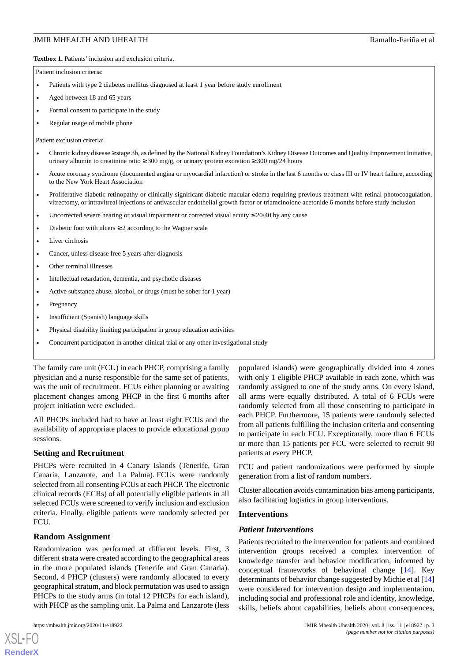Textbox 1. Patients' inclusion and exclusion criteria.

Patient inclusion criteria:

- Patients with type 2 diabetes mellitus diagnosed at least 1 year before study enrollment
- Aged between 18 and 65 years
- Formal consent to participate in the study
- Regular usage of mobile phone

Patient exclusion criteria:

- Chronic kidney disease ≥ stage 3b, as defined by the National Kidney Foundation's Kidney Disease Outcomes and Quality Improvement Initiative, urinary albumin to creatinine ratio  $\geq 300$  mg/g, or urinary protein excretion  $\geq 300$  mg/24 hours
- Acute coronary syndrome (documented angina or myocardial infarction) or stroke in the last 6 months or class III or IV heart failure, according to the New York Heart Association
- Proliferative diabetic retinopathy or clinically significant diabetic macular edema requiring previous treatment with retinal photocoagulation, vitrectomy, or intravitreal injections of antivascular endothelial growth factor or triamcinolone acetonide 6 months before study inclusion
- Uncorrected severe hearing or visual impairment or corrected visual acuity  $\leq 20/40$  by any cause
- Diabetic foot with ulcers  $\geq 2$  according to the Wagner scale
- Liver cirrhosis
- Cancer, unless disease free 5 years after diagnosis
- Other terminal illnesses
- Intellectual retardation, dementia, and psychotic diseases
- Active substance abuse, alcohol, or drugs (must be sober for 1 year)
- **Pregnancy**
- Insufficient (Spanish) language skills
- Physical disability limiting participation in group education activities
- Concurrent participation in another clinical trial or any other investigational study

The family care unit (FCU) in each PHCP, comprising a family physician and a nurse responsible for the same set of patients, was the unit of recruitment. FCUs either planning or awaiting placement changes among PHCP in the first 6 months after project initiation were excluded.

All PHCPs included had to have at least eight FCUs and the availability of appropriate places to provide educational group sessions.

#### **Setting and Recruitment**

PHCPs were recruited in 4 Canary Islands (Tenerife, Gran Canaria, Lanzarote, and La Palma). FCUs were randomly selected from all consenting FCUs at each PHCP. The electronic clinical records (ECRs) of all potentially eligible patients in all selected FCUs were screened to verify inclusion and exclusion criteria. Finally, eligible patients were randomly selected per FCU.

#### **Random Assignment**

Randomization was performed at different levels. First, 3 different strata were created according to the geographical areas in the more populated islands (Tenerife and Gran Canaria). Second, 4 PHCP (clusters) were randomly allocated to every geographical stratum, and block permutation was used to assign PHCPs to the study arms (in total 12 PHCPs for each island), with PHCP as the sampling unit. La Palma and Lanzarote (less

populated islands) were geographically divided into 4 zones with only 1 eligible PHCP available in each zone, which was randomly assigned to one of the study arms. On every island, all arms were equally distributed. A total of 6 FCUs were randomly selected from all those consenting to participate in each PHCP. Furthermore, 15 patients were randomly selected from all patients fulfilling the inclusion criteria and consenting to participate in each FCU. Exceptionally, more than 6 FCUs or more than 15 patients per FCU were selected to recruit 90 patients at every PHCP.

FCU and patient randomizations were performed by simple generation from a list of random numbers.

Cluster allocation avoids contamination bias among participants, also facilitating logistics in group interventions.

#### **Interventions**

#### *Patient Interventions*

Patients recruited to the intervention for patients and combined intervention groups received a complex intervention of knowledge transfer and behavior modification, informed by conceptual frameworks of behavioral change [14]. Key determinants of behavior change suggested by Michie et al [14] were considered for intervention design and implementation, including social and professional role and identity, knowledge, skills, beliefs about capabilities, beliefs about consequences,

```
XSL•FO
RenderX
```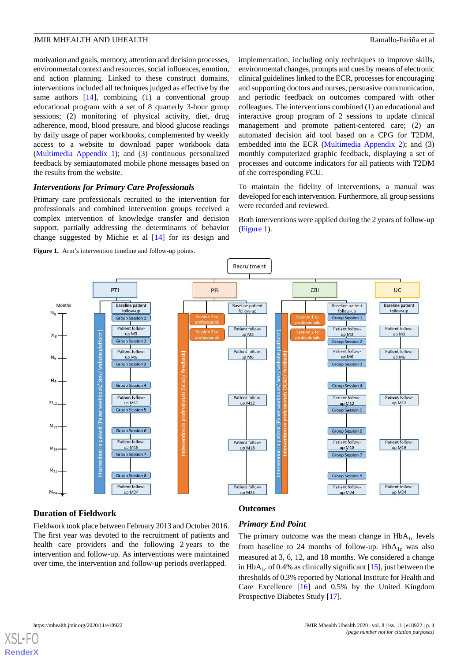motivation and goals, memory, attention and decision processes, environmental context and resources, social influences, emotion, and action planning. Linked to these construct domains, interventions included all techniques judged as effective by the same authors  $[14]$ , combining  $(1)$  a conventional group educational program with a set of 8 quarterly 3-hour group sessions; (2) monitoring of physical activity, diet, drug adherence, mood, blood pressure, and blood glucose readings by daily usage of paper workbooks, complemented by weekly access to a website to download paper workbook data (Multimedia Appendix 1); and (3) continuous personalized feedback by semiautomated mobile phone messages based on the results from the website.

# *Interventions for Primary Care Professionals*

Primary care professionals recruited to the intervention for professionals and combined intervention groups received a complex intervention of knowledge transfer and decision support, partially addressing the determinants of behavior change suggested by Michie et al [14] for its design and

**Figure 1.** Arm's intervention timeline and follow-up points.

implementation, including only techniques to improve skills, environmental changes, prompts and cues by means of electronic clinical guidelines linked to the ECR, processes for encouraging and supporting doctors and nurses, persuasive communication, and periodic feedback on outcomes compared with other colleagues. The interventions combined (1) an educational and interactive group program of 2 sessions to update clinical management and promote patient-centered care; (2) an automated decision aid tool based on a CPG for T2DM, embedded into the ECR (Multimedia Appendix 2); and (3) monthly computerized graphic feedback, displaying a set of processes and outcome indicators for all patients with T2DM of the corresponding FCU.

To maintain the fidelity of interventions, a manual was developed for each intervention. Furthermore, all group sessions were recorded and reviewed.

Both interventions were applied during the 2 years of follow-up (Figure 1).



#### **Duration of Fieldwork**

**Outcomes**

Fieldwork took place between February 2013 and October 2016. The first year was devoted to the recruitment of patients and health care providers and the following 2 years to the intervention and follow-up. As interventions were maintained over time, the intervention and follow-up periods overlapped.

# *Primary End Point*

The primary outcome was the mean change in  $HbA_{1c}$  levels from baseline to 24 months of follow-up.  $HbA_{1c}$  was also measured at 3, 6, 12, and 18 months. We considered a change in HbA<sub>1c</sub> of 0.4% as clinically significant [15], just between the thresholds of 0.3% reported by National Institute for Health and Care Excellence [16] and 0.5% by the United Kingdom Prospective Diabetes Study [17].

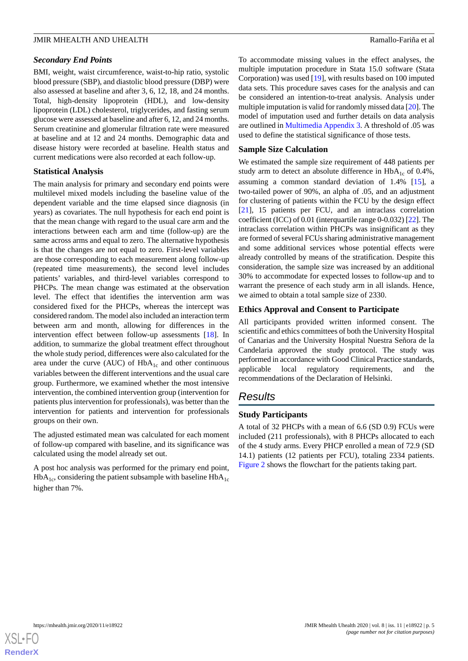#### *Secondary End Points*

BMI, weight, waist circumference, waist-to-hip ratio, systolic blood pressure (SBP), and diastolic blood pressure (DBP) were also assessed at baseline and after 3, 6, 12, 18, and 24 months. Total, high-density lipoprotein (HDL), and low-density lipoprotein (LDL) cholesterol, triglycerides, and fasting serum glucose were assessed at baseline and after 6, 12, and 24 months. Serum creatinine and glomerular filtration rate were measured at baseline and at 12 and 24 months. Demographic data and disease history were recorded at baseline. Health status and current medications were also recorded at each follow-up.

#### **Statistical Analysis**

The main analysis for primary and secondary end points were multilevel mixed models including the baseline value of the dependent variable and the time elapsed since diagnosis (in years) as covariates. The null hypothesis for each end point is that the mean change with regard to the usual care arm and the interactions between each arm and time (follow-up) are the same across arms and equal to zero. The alternative hypothesis is that the changes are not equal to zero. First-level variables are those corresponding to each measurement along follow-up (repeated time measurements), the second level includes patients' variables, and third-level variables correspond to PHCPs. The mean change was estimated at the observation level. The effect that identifies the intervention arm was considered fixed for the PHCPs, whereas the intercept was considered random. The model also included an interaction term between arm and month, allowing for differences in the intervention effect between follow-up assessments [18]. In addition, to summarize the global treatment effect throughout the whole study period, differences were also calculated for the area under the curve (AUC) of  $HbA_{1c}$  and other continuous variables between the different interventions and the usual care group. Furthermore, we examined whether the most intensive intervention, the combined intervention group (intervention for patients plus intervention for professionals), was better than the intervention for patients and intervention for professionals groups on their own.

The adjusted estimated mean was calculated for each moment of follow-up compared with baseline, and its significance was calculated using the model already set out.

A post hoc analysis was performed for the primary end point,  $HbA_{1c}$ , considering the patient subsample with baseline  $HbA_{1c}$ higher than 7%.

To accommodate missing values in the effect analyses, the multiple imputation procedure in Stata 15.0 software (Stata Corporation) was used [19], with results based on 100 imputed data sets. This procedure saves cases for the analysis and can be considered an intention-to-treat analysis. Analysis under multiple imputation is valid for randomly missed data [20]. The model of imputation used and further details on data analysis are outlined in Multimedia Appendix 3. A threshold of .05 was used to define the statistical significance of those tests.

# **Sample Size Calculation**

We estimated the sample size requirement of 448 patients per study arm to detect an absolute difference in  $HbA_{1c}$  of 0.4%, assuming a common standard deviation of 1.4% [15], a two-tailed power of 90%, an alpha of .05, and an adjustment for clustering of patients within the FCU by the design effect [21], 15 patients per FCU, and an intraclass correlation coefficient (ICC) of 0.01 (interquartile range 0-0.032) [22]. The intraclass correlation within PHCPs was insignificant as they are formed of several FCUs sharing administrative management and some additional services whose potential effects were already controlled by means of the stratification. Despite this consideration, the sample size was increased by an additional 30% to accommodate for expected losses to follow-up and to warrant the presence of each study arm in all islands. Hence, we aimed to obtain a total sample size of 2330.

# **Ethics Approval and Consent to Participate**

All participants provided written informed consent. The scientific and ethics committees of both the University Hospital of Canarias and the University Hospital Nuestra Señora de la Candelaria approved the study protocol. The study was performed in accordance with Good Clinical Practice standards, applicable local regulatory requirements, and the recommendations of the Declaration of Helsinki.

# *Results*

# **Study Participants**

A total of 32 PHCPs with a mean of 6.6 (SD 0.9) FCUs were included (211 professionals), with 8 PHCPs allocated to each of the 4 study arms. Every PHCP enrolled a mean of 72.9 (SD 14.1) patients (12 patients per FCU), totaling 2334 patients. Figure 2 shows the flowchart for the patients taking part.

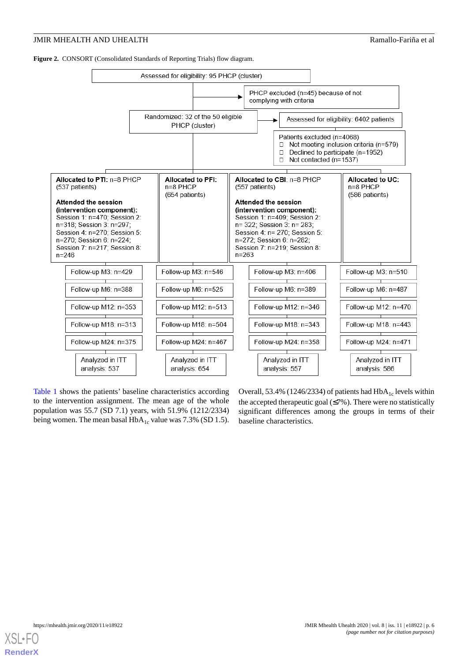**Figure 2.** CONSORT (Consolidated Standards of Reporting Trials) flow diagram.



Table 1 shows the patients' baseline characteristics according to the intervention assignment. The mean age of the whole population was 55.7 (SD 7.1) years, with 51.9% (1212/2334) being women. The mean basal  $HbA_{1c}$  value was 7.3% (SD 1.5).

Overall, 53.4% (1246/2334) of patients had  $HbA_{1c}$  levels within the accepted therapeutic goal  $(\leq 7\%)$ . There were no statistically significant differences among the groups in terms of their baseline characteristics.

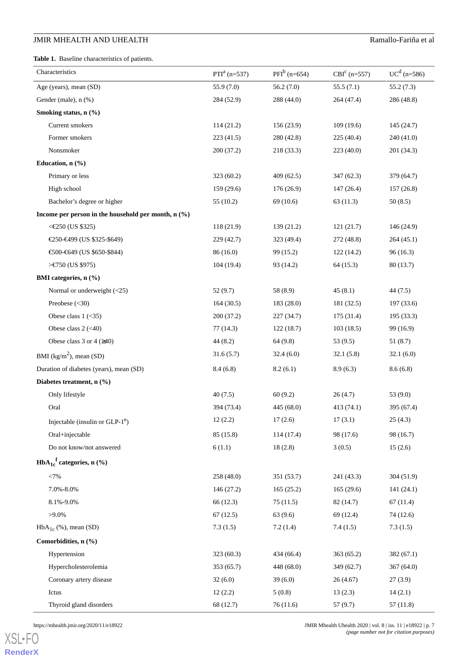**Table 1.** Baseline characteristics of patients.

| Characteristics                                       | $PTIa$ (n=537) | $PFI^b$ (n=654) | $CBIc$ (n=557) | $UC^{d}$ (n=586) |
|-------------------------------------------------------|----------------|-----------------|----------------|------------------|
| Age (years), mean (SD)                                | 55.9 (7.0)     | 56.2(7.0)       | 55.5(7.1)      | 55.2(7.3)        |
| Gender (male), n (%)                                  | 284 (52.9)     | 288 (44.0)      | 264 (47.4)     | 286 (48.8)       |
| Smoking status, n (%)                                 |                |                 |                |                  |
| Current smokers                                       | 114 (21.2)     | 156 (23.9)      | 109(19.6)      | 145(24.7)        |
| Former smokers                                        | 223(41.5)      | 280 (42.8)      | 225 (40.4)     | 240(41.0)        |
| Nonsmoker                                             | 200(37.2)      | 218 (33.3)      | 223 (40.0)     | 201(34.3)        |
| Education, n (%)                                      |                |                 |                |                  |
| Primary or less                                       | 323(60.2)      | 409 (62.5)      | 347 (62.3)     | 379 (64.7)       |
| High school                                           | 159 (29.6)     | 176 (26.9)      | 147(26.4)      | 157(26.8)        |
| Bachelor's degree or higher                           | 55(10.2)       | 69 (10.6)       | 63(11.3)       | 50(8.5)          |
| Income per person in the household per month, $n$ (%) |                |                 |                |                  |
| <€250 (US \$325)                                      | 118 (21.9)     | 139 (21.2)      | 121(21.7)      | 146(24.9)        |
| €250-€499 (US \$325-\$649)                            | 229 (42.7)     | 323 (49.4)      | 272 (48.8)     | 264(45.1)        |
| €500-€649 (US \$650-\$844)                            | 86(16.0)       | 99 (15.2)       | 122 (14.2)     | 96(16.3)         |
| >€750 (US \$975)                                      | 104(19.4)      | 93 (14.2)       | 64(15.3)       | 80(13.7)         |
| BMI categories, n (%)                                 |                |                 |                |                  |
| Normal or underweight $(<25)$                         | 52(9.7)        | 58 (8.9)        | 45(8.1)        | 44(7.5)          |
| Preobese $(30)$                                       | 164(30.5)      | 183 (28.0)      | 181 (32.5)     | 197 (33.6)       |
| Obese class $1$ (<35)                                 | 200 (37.2)     | 227(34.7)       | 175 (31.4)     | 195 (33.3)       |
| Obese class $2$ (<40)                                 | 77(14.3)       | 122(18.7)       | 103(18.5)      | 99 (16.9)        |
| Obese class 3 or 4 $(\geq 40)$                        | 44(8.2)        | 64 (9.8)        | 53 (9.5)       | 51(8.7)          |
| BMI ( $\text{kg/m}^2$ ), mean (SD)                    | 31.6(5.7)      | 32.4(6.0)       | 32.1(5.8)      | 32.1(6.0)        |
| Duration of diabetes (years), mean (SD)               | 8.4(6.8)       | 8.2(6.1)        | 8.9(6.3)       | 8.6(6.8)         |
| Diabetes treatment, n (%)                             |                |                 |                |                  |
| Only lifestyle                                        | 40(7.5)        | 60(9.2)         | 26(4.7)        | 53 (9.0)         |
| Oral                                                  | 394 (73.4)     | 445 (68.0)      | 413 (74.1)     | 395 (67.4)       |
| Injectable (insulin or $GLP-1^e$ )                    | 12(2.2)        | 17(2.6)         | 17(3.1)        | 25(4.3)          |
| Oral+injectable                                       | 85 (15.8)      | 114(17.4)       | 98 (17.6)      | 98 (16.7)        |
| Do not know/not answered                              | 6(1.1)         | 18(2.8)         | 3(0.5)         | 15(2.6)          |
| $HbA_{1c}^{\text{f}}$ categories, n (%)               |                |                 |                |                  |
| <7%                                                   | 258(48.0)      | 351 (53.7)      | 241 (43.3)     | 304(51.9)        |
| 7.0%-8.0%                                             | 146 (27.2)     | 165(25.2)       | 165(29.6)      | 141 (24.1)       |
| 8.1%-9.0%                                             | 66 (12.3)      | 75(11.5)        | 82 (14.7)      | 67(11.4)         |
| $>9.0\%$                                              | 67(12.5)       | 63(9.6)         | 69 (12.4)      | 74 (12.6)        |
| $HbA_{1c}$ (%), mean (SD)                             | 7.3(1.5)       | 7.2(1.4)        | 7.4(1.5)       | 7.3(1.5)         |
| Comorbidities, n (%)                                  |                |                 |                |                  |
| Hypertension                                          | 323 (60.3)     | 434 (66.4)      | 363 (65.2)     | 382(67.1)        |
| Hypercholesterolemia                                  | 353(65.7)      | 448 (68.0)      | 349 (62.7)     | 367(64.0)        |
| Coronary artery disease                               | 32(6.0)        | 39(6.0)         | 26(4.67)       | 27(3.9)          |
| Ictus                                                 | 12(2.2)        | 5(0.8)          | 13(2.3)        | 14(2.1)          |
| Thyroid gland disorders                               | 68 (12.7)      | 76(11.6)        | 57(9.7)        | 57(11.8)         |

XSL•FO **RenderX**

https://mhealth.jmir.org/2020/11/e18922 p. 7 [18922] JMIR Mhealth Uhealth 2020 | vol. 8 | iss. 11 | e18922 | p. 7 *(page number not for citation purposes)*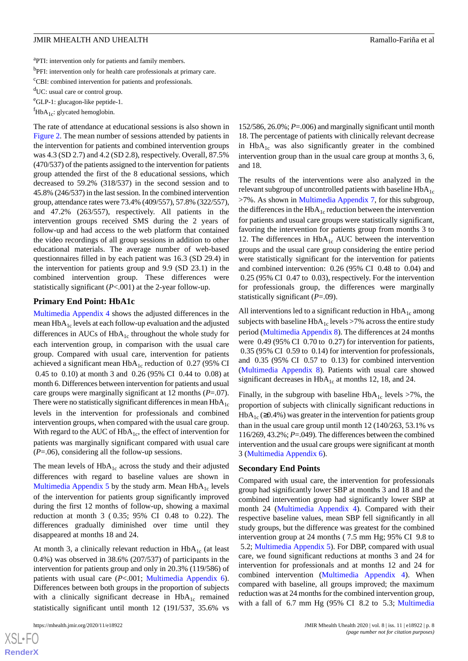<sup>a</sup>PTI: intervention only for patients and family members.

<sup>b</sup>PFI: intervention only for health care professionals at primary care.

<sup>c</sup>CBI: combined intervention for patients and professionals.

<sup>d</sup>UC: usual care or control group.

<sup>e</sup>GLP-1: glucagon-like peptide-1.

 ${}^f$ HbA<sub>1c</sub>: glycated hemoglobin.

The rate of attendance at educational sessions is also shown in Figure 2. The mean number of sessions attended by patients in the intervention for patients and combined intervention groups was 4.3 (SD 2.7) and 4.2 (SD 2.8), respectively. Overall, 87.5% (470/537) of the patients assigned to the intervention for patients group attended the first of the 8 educational sessions, which decreased to 59.2% (318/537) in the second session and to 45.8% (246/537) in the last session. In the combined intervention group, attendance rates were 73.4% (409/557), 57.8% (322/557), and 47.2% (263/557), respectively. All patients in the intervention groups received SMS during the 2 years of follow-up and had access to the web platform that contained the video recordings of all group sessions in addition to other educational materials. The average number of web-based questionnaires filled in by each patient was 16.3 (SD 29.4) in the intervention for patients group and 9.9 (SD 23.1) in the combined intervention group. These differences were statistically significant (*P*<.001) at the 2-year follow-up.

#### **Primary End Point: HbA1c**

Multimedia Appendix 4 shows the adjusted differences in the mean  $HbA_{1c}$  levels at each follow-up evaluation and the adjusted differences in AUCs of  $HbA_{1c}$  throughout the whole study for each intervention group, in comparison with the usual care group. Compared with usual care, intervention for patients achieved a significant mean  $HbA_{1c}$  reduction of 0.27 (95% CI 0.45 to 0.10) at month 3 and 0.26 (95% CI 0.44 to 0.08) at month 6. Differences between intervention for patients and usual care groups were marginally significant at 12 months (*P*=.07). There were no statistically significant differences in mean  $HbA<sub>1c</sub>$ levels in the intervention for professionals and combined intervention groups, when compared with the usual care group. With regard to the AUC of  $HbA_{1c}$ , the effect of intervention for patients was marginally significant compared with usual care (*P*=.06), considering all the follow-up sessions.

The mean levels of  $HbA_{1c}$  across the study and their adjusted differences with regard to baseline values are shown in Multimedia Appendix 5 by the study arm. Mean  $HbA_{1c}$  levels of the intervention for patients group significantly improved during the first 12 months of follow-up, showing a maximal reduction at month 3 ( 0.35; 95% CI 0.48 to 0.22). The differences gradually diminished over time until they disappeared at months 18 and 24.

At month 3, a clinically relevant reduction in  $HbA_{1c}$  (at least 0.4%) was observed in 38.6% (207/537) of participants in the intervention for patients group and only in 20.3% (119/586) of patients with usual care (*P*<.001; Multimedia Appendix 6). Differences between both groups in the proportion of subjects with a clinically significant decrease in  $HbA_{1c}$  remained statistically significant until month 12 (191/537, 35.6% vs

 $XS$  • FC **RenderX** 152/586, 26.0%; *P*=.006) and marginally significant until month 18. The percentage of patients with clinically relevant decrease in  $HbA_{1c}$  was also significantly greater in the combined intervention group than in the usual care group at months 3, 6, and 18.

The results of the interventions were also analyzed in the relevant subgroup of uncontrolled patients with baseline  $HbA_{1c}$ >7%. As shown in Multimedia Appendix 7, for this subgroup, the differences in the  $HbA_{1c}$  reduction between the intervention for patients and usual care groups were statistically significant, favoring the intervention for patients group from months 3 to 12. The differences in  $HbA_{1c}$  AUC between the intervention groups and the usual care group considering the entire period were statistically significant for the intervention for patients and combined intervention: 0.26 (95% CI 0.48 to 0.04) and 0.25 (95% CI 0.47 to 0.03), respectively. For the intervention for professionals group, the differences were marginally statistically significant (*P*=.09).

All interventions led to a significant reduction in  $HbA_{1c}$  among subjects with baseline  $HbA_{1c}$  levels >7% across the entire study period (Multimedia Appendix 8). The differences at 24 months were 0.49 (95% CI 0.70 to 0.27) for intervention for patients, 0.35 (95% CI 0.59 to 0.14) for intervention for professionals, and 0.35 (95% CI 0.57 to 0.13) for combined intervention (Multimedia Appendix 8). Patients with usual care showed significant decreases in  $HbA_{1c}$  at months 12, 18, and 24.

Finally, in the subgroup with baseline  $HbA_{1c}$  levels >7%, the proportion of subjects with clinically significant reductions in  $HbA_{1c}$  (≥0.4%) was greater in the intervention for patients group than in the usual care group until month 12 (140/263, 53.1% vs 116/269, 43.2%; *P*=.049). The differences between the combined intervention and the usual care groups were significant at month 3 (Multimedia Appendix 6).

#### **Secondary End Points**

Compared with usual care, the intervention for professionals group had significantly lower SBP at months 3 and 18 and the combined intervention group had significantly lower SBP at month 24 (Multimedia Appendix 4). Compared with their respective baseline values, mean SBP fell significantly in all study groups, but the difference was greatest for the combined intervention group at 24 months ( 7.5 mm Hg; 95% CI 9.8 to 5.2; Multimedia Appendix 5). For DBP, compared with usual care, we found significant reductions at months 3 and 24 for intervention for professionals and at months 12 and 24 for combined intervention (Multimedia Appendix 4). When compared with baseline, all groups improved; the maximum reduction was at 24 months for the combined intervention group, with a fall of 6.7 mm Hg (95% CI 8.2 to 5.3; Multimedia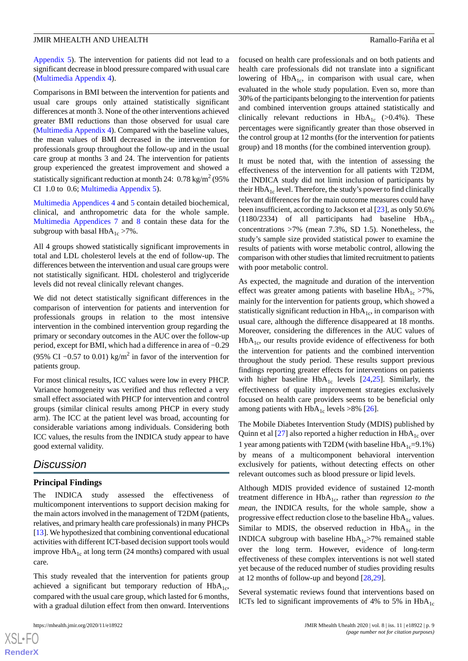Appendix 5). The intervention for patients did not lead to a significant decrease in blood pressure compared with usual care (Multimedia Appendix 4).

Comparisons in BMI between the intervention for patients and usual care groups only attained statistically significant differences at month 3. None of the other interventions achieved greater BMI reductions than those observed for usual care (Multimedia Appendix 4). Compared with the baseline values, the mean values of BMI decreased in the intervention for professionals group throughout the follow-up and in the usual care group at months 3 and 24. The intervention for patients group experienced the greatest improvement and showed a statistically significant reduction at month 24:  $0.78 \text{ kg/m}^2$  (95%) CI 1.0 to 0.6; Multimedia Appendix 5).

Multimedia Appendices 4 and 5 contain detailed biochemical, clinical, and anthropometric data for the whole sample. Multimedia Appendices 7 and 8 contain these data for the subgroup with basal  $HbA_{1c} > 7\%$ .

All 4 groups showed statistically significant improvements in total and LDL cholesterol levels at the end of follow-up. The differences between the intervention and usual care groups were not statistically significant. HDL cholesterol and triglyceride levels did not reveal clinically relevant changes.

We did not detect statistically significant differences in the comparison of intervention for patients and intervention for professionals groups in relation to the most intensive intervention in the combined intervention group regarding the primary or secondary outcomes in the AUC over the follow-up period, except for BMI, which had a difference in area of −0.29 (95% CI –0.57 to 0.01) kg/m<sup>2</sup> in favor of the intervention for patients group.

For most clinical results, ICC values were low in every PHCP. Variance homogeneity was verified and thus reflected a very small effect associated with PHCP for intervention and control groups (similar clinical results among PHCP in every study arm). The ICC at the patient level was broad, accounting for considerable variations among individuals. Considering both ICC values, the results from the INDICA study appear to have good external validity.

# *Discussion*

#### **Principal Findings**

The INDICA study assessed the effectiveness of multicomponent interventions to support decision making for the main actors involved in the management of T2DM (patients, relatives, and primary health care professionals) in many PHCPs [13]. We hypothesized that combining conventional educational activities with different ICT-based decision support tools would improve  $HbA_{1c}$  at long term (24 months) compared with usual care.

This study revealed that the intervention for patients group achieved a significant but temporary reduction of  $HbA_{1c}$ , compared with the usual care group, which lasted for 6 months, with a gradual dilution effect from then onward. Interventions

 $XS$  $\cdot$ FC **RenderX**

focused on health care professionals and on both patients and health care professionals did not translate into a significant lowering of  $HbA_{1c}$ , in comparison with usual care, when evaluated in the whole study population. Even so, more than 30% of the participants belonging to the intervention for patients and combined intervention groups attained statistically and clinically relevant reductions in  $HbA_{1c}$  (>0.4%). These percentages were significantly greater than those observed in the control group at 12 months (for the intervention for patients group) and 18 months (for the combined intervention group).

It must be noted that, with the intention of assessing the effectiveness of the intervention for all patients with T2DM, the INDICA study did not limit inclusion of participants by their  $HbA_{1c}$  level. Therefore, the study's power to find clinically relevant differences for the main outcome measures could have been insufficient, according to Jackson et al [23], as only 50.6% (1180/2334) of all participants had baseline  $HbA_{1c}$ concentrations >7% (mean 7.3%, SD 1.5). Nonetheless, the study's sample size provided statistical power to examine the results of patients with worse metabolic control, allowing the comparison with other studies that limited recruitment to patients with poor metabolic control.

As expected, the magnitude and duration of the intervention effect was greater among patients with baseline  $HbA_{1c} > 7\%$ , mainly for the intervention for patients group, which showed a statistically significant reduction in  $HbA_{1c}$ , in comparison with usual care, although the difference disappeared at 18 months. Moreover, considering the differences in the AUC values of  $HbA_{1c}$ , our results provide evidence of effectiveness for both the intervention for patients and the combined intervention throughout the study period. These results support previous findings reporting greater effects for interventions on patients with higher baseline  $HbA_{1c}$  levels [24,25]. Similarly, the effectiveness of quality improvement strategies exclusively focused on health care providers seems to be beneficial only among patients with  $HbA_{1c}$  levels >8% [26].

The Mobile Diabetes Intervention Study (MDIS) published by Quinn et al  $[27]$  also reported a higher reduction in  $HbA_{1c}$  over 1 year among patients with T2DM (with baseline  $HbA_{1c}=9.1\%$ ) by means of a multicomponent behavioral intervention exclusively for patients, without detecting effects on other relevant outcomes such as blood pressure or lipid levels.

Although MDIS provided evidence of sustained 12-month treatment difference in HbA<sub>1c</sub>, rather than *regression to the mean*, the INDICA results, for the whole sample, show a progressive effect reduction close to the baseline  $HbA_{1c}$  values. Similar to MDIS, the observed reduction in  $HbA_{1c}$  in the INDICA subgroup with baseline  $HbA_{1c}$ >7% remained stable over the long term. However, evidence of long-term effectiveness of these complex interventions is not well stated yet because of the reduced number of studies providing results at 12 months of follow-up and beyond [28,29].

Several systematic reviews found that interventions based on ICTs led to significant improvements of 4% to 5% in  $HbA_{1c}$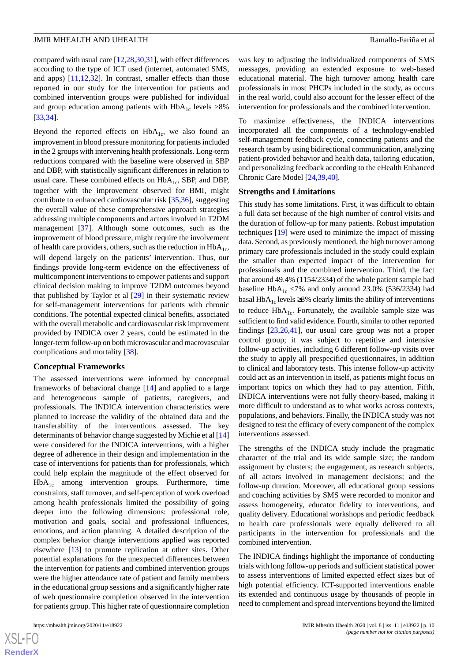compared with usual care [12,28,30,31], with effect differences according to the type of ICT used (internet, automated SMS, and apps)  $[11, 12, 32]$ . In contrast, smaller effects than those reported in our study for the intervention for patients and combined intervention groups were published for individual and group education among patients with  $HbA_{1c}$  levels  $>8\%$ [33,34].

Beyond the reported effects on  $HbA<sub>1c</sub>$ , we also found an improvement in blood pressure monitoring for patients included in the 2 groups with intervening health professionals. Long-term reductions compared with the baseline were observed in SBP and DBP, with statistically significant differences in relation to usual care. These combined effects on  $HbA_{1c}$ , SBP, and DBP, together with the improvement observed for BMI, might contribute to enhanced cardiovascular risk [35,36], suggesting the overall value of these comprehensive approach strategies addressing multiple components and actors involved in T2DM management [37]. Although some outcomes, such as the improvement of blood pressure, might require the involvement of health care providers, others, such as the reduction in  $HbA_{1c}$ , will depend largely on the patients' intervention. Thus, our findings provide long-term evidence on the effectiveness of multicomponent interventions to empower patients and support clinical decision making to improve T2DM outcomes beyond that published by Taylor et al [29] in their systematic review for self-management interventions for patients with chronic conditions. The potential expected clinical benefits, associated with the overall metabolic and cardiovascular risk improvement provided by INDICA over 2 years, could be estimated in the longer-term follow-up on both microvascular and macrovascular complications and mortality [38].

#### **Conceptual Frameworks**

The assessed interventions were informed by conceptual frameworks of behavioral change [14] and applied to a large and heterogeneous sample of patients, caregivers, and professionals. The INDICA intervention characteristics were planned to increase the validity of the obtained data and the transferability of the interventions assessed. The key determinants of behavior change suggested by Michie et al [14] were considered for the INDICA interventions, with a higher degree of adherence in their design and implementation in the case of interventions for patients than for professionals, which could help explain the magnitude of the effect observed for  $HbA<sub>1c</sub>$  among intervention groups. Furthermore, time constraints, staff turnover, and self-perception of work overload among health professionals limited the possibility of going deeper into the following dimensions: professional role, motivation and goals, social and professional influences, emotions, and action planning. A detailed description of the complex behavior change interventions applied was reported elsewhere [13] to promote replication at other sites. Other potential explanations for the unexpected differences between the intervention for patients and combined intervention groups were the higher attendance rate of patient and family members in the educational group sessions and a significantly higher rate of web questionnaire completion observed in the intervention for patients group. This higher rate of questionnaire completion

 $XS$  • FC **RenderX** was key to adjusting the individualized components of SMS messages, providing an extended exposure to web-based educational material. The high turnover among health care professionals in most PHCPs included in the study, as occurs in the real world, could also account for the lesser effect of the intervention for professionals and the combined intervention.

To maximize effectiveness, the INDICA interventions incorporated all the components of a technology-enabled self-management feedback cycle, connecting patients and the research team by using bidirectional communication, analyzing patient-provided behavior and health data, tailoring education, and personalizing feedback according to the eHealth Enhanced Chronic Care Model [24,39,40].

#### **Strengths and Limitations**

This study has some limitations. First, it was difficult to obtain a full data set because of the high number of control visits and the duration of follow-up for many patients. Robust imputation techniques [19] were used to minimize the impact of missing data. Second, as previously mentioned, the high turnover among primary care professionals included in the study could explain the smaller than expected impact of the intervention for professionals and the combined intervention. Third, the fact that around 49.4% (1154/2334) of the whole patient sample had baseline  $HbA_{1c}$  <7% and only around 23.0% (536/2334) had basal HbA<sub>1c</sub> levels ≥8% clearly limits the ability of interventions to reduce  $HbA_{1c}$ . Fortunately, the available sample size was sufficient to find valid evidence. Fourth, similar to other reported findings [23,26,41], our usual care group was not a proper control group; it was subject to repetitive and intensive follow-up activities, including 6 different follow-up visits over the study to apply all prespecified questionnaires, in addition to clinical and laboratory tests. This intense follow-up activity could act as an intervention in itself, as patients might focus on important topics on which they had to pay attention. Fifth, INDICA interventions were not fully theory-based, making it more difficult to understand as to what works across contexts, populations, and behaviors. Finally, the INDICA study was not designed to test the efficacy of every component of the complex interventions assessed.

The strengths of the INDICA study include the pragmatic character of the trial and its wide sample size; the random assignment by clusters; the engagement, as research subjects, of all actors involved in management decisions; and the follow-up duration. Moreover, all educational group sessions and coaching activities by SMS were recorded to monitor and assess homogeneity, educator fidelity to interventions, and quality delivery. Educational workshops and periodic feedback to health care professionals were equally delivered to all participants in the intervention for professionals and the combined intervention.

The INDICA findings highlight the importance of conducting trials with long follow-up periods and sufficient statistical power to assess interventions of limited expected effect sizes but of high potential efficiency. ICT-supported interventions enable its extended and continuous usage by thousands of people in need to complement and spread interventions beyond the limited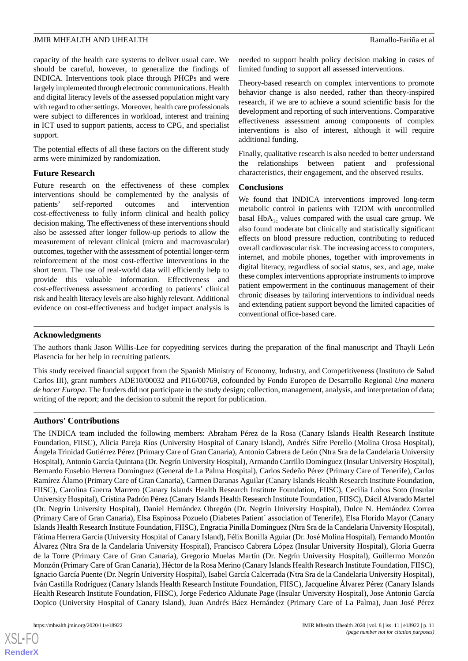capacity of the health care systems to deliver usual care. We should be careful, however, to generalize the findings of INDICA. Interventions took place through PHCPs and were largely implemented through electronic communications. Health and digital literacy levels of the assessed population might vary with regard to other settings. Moreover, health care professionals were subject to differences in workload, interest and training in ICT used to support patients, access to CPG, and specialist support.

The potential effects of all these factors on the different study arms were minimized by randomization.

#### **Future Research**

Future research on the effectiveness of these complex interventions should be complemented by the analysis of patients' self-reported outcomes and intervention cost-effectiveness to fully inform clinical and health policy decision making. The effectiveness of these interventions should also be assessed after longer follow-up periods to allow the measurement of relevant clinical (micro and macrovascular) outcomes, together with the assessment of potential longer-term reinforcement of the most cost-effective interventions in the short term. The use of real-world data will efficiently help to provide this valuable information. Effectiveness and cost-effectiveness assessment according to patients' clinical risk and health literacy levels are also highly relevant. Additional evidence on cost-effectiveness and budget impact analysis is needed to support health policy decision making in cases of limited funding to support all assessed interventions.

Theory-based research on complex interventions to promote behavior change is also needed, rather than theory-inspired research, if we are to achieve a sound scientific basis for the development and reporting of such interventions. Comparative effectiveness assessment among components of complex interventions is also of interest, although it will require additional funding.

Finally, qualitative research is also needed to better understand the relationships between patient and professional characteristics, their engagement, and the observed results.

#### **Conclusions**

We found that INDICA interventions improved long-term metabolic control in patients with T2DM with uncontrolled basal  $HbA_{1c}$  values compared with the usual care group. We also found moderate but clinically and statistically significant effects on blood pressure reduction, contributing to reduced overall cardiovascular risk. The increasing access to computers, internet, and mobile phones, together with improvements in digital literacy, regardless of social status, sex, and age, make these complex interventions appropriate instruments to improve patient empowerment in the continuous management of their chronic diseases by tailoring interventions to individual needs and extending patient support beyond the limited capacities of conventional office-based care.

#### **Acknowledgments**

The authors thank Jason Willis-Lee for copyediting services during the preparation of the final manuscript and Thayli León Plasencia for her help in recruiting patients.

This study received financial support from the Spanish Ministry of Economy, Industry, and Competitiveness (Instituto de Salud Carlos III), grant numbers ADE10/00032 and PI16/00769, cofounded by Fondo Europeo de Desarrollo Regional *Una manera de hacer Europa*. The funders did not participate in the study design; collection, management, analysis, and interpretation of data; writing of the report; and the decision to submit the report for publication.

#### **Authors' Contributions**

The INDICA team included the following members: Abraham Pérez de la Rosa (Canary Islands Health Research Institute Foundation, FIISC), Alicia Pareja Ríos (University Hospital of Canary Island), Andrés Sifre Perello (Molina Orosa Hospital), Ángela Trinidad Gutiérrez Pérez (Primary Care of Gran Canaria), Antonio Cabrera de León (Ntra Sra de la Candelaria University Hospital), Antonio García Quintana (Dr. Negrín University Hospital), Armando Carrillo Domínguez (Insular University Hospital), Bernardo Eusebio Herrera Domínguez (General de La Palma Hospital), Carlos Sedeño Pérez (Primary Care of Tenerife), Carlos Ramírez Álamo (Primary Care of Gran Canaria), Carmen Daranas Aguilar (Canary Islands Health Research Institute Foundation, FIISC), Carolina Guerra Marrero (Canary Islands Health Research Institute Foundation, FIISC), Cecilia Lobos Soto (Insular University Hospital), Cristina Padrón Pérez (Canary Islands Health Research Institute Foundation, FIISC), Dácil Alvarado Martel (Dr. Negrín University Hospital), Daniel Hernández Obregón (Dr. Negrín University Hospital), Dulce N. Hernández Correa (Primary Care of Gran Canaria), Elsa Espinosa Pozuelo (Diabetes Patient´ association of Tenerife), Elsa Florido Mayor (Canary Islands Health Research Institute Foundation, FIISC), Engracia Pinilla Domínguez (Ntra Sra de la Candelaria University Hospital), Fátima Herrera García (University Hospital of Canary Island), Félix Bonilla Aguiar (Dr. José Molina Hospital), Fernando Montón Álvarez (Ntra Sra de la Candelaria University Hospital), Francisco Cabrera López (Insular University Hospital), Gloria Guerra de la Torre (Primary Care of Gran Canaria), Gregorio Muelas Martín (Dr. Negrín University Hospital), Guillermo Monzón Monzón (Primary Care of Gran Canaria), Héctor de la Rosa Merino (Canary Islands Health Research Institute Foundation, FIISC), Ignacio García Puente (Dr. Negrín University Hospital), Isabel García Calcerrada (Ntra Sra de la Candelaria University Hospital), Iván Castilla Rodríguez (Canary Islands Health Research Institute Foundation, FIISC), Jacqueline Álvarez Pérez (Canary Islands Health Research Institute Foundation, FIISC), Jorge Federico Aldunate Page (Insular University Hospital), Jose Antonio García Dopico (University Hospital of Canary Island), Juan Andrés Báez Hernández (Primary Care of La Palma), Juan José Pérez

 $XS$  • FO **RenderX**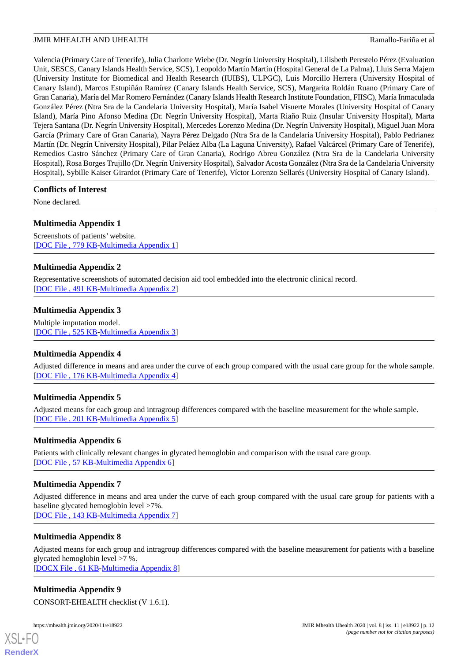Valencia (Primary Care of Tenerife), Julia Charlotte Wiebe (Dr. Negrín University Hospital), Lilisbeth Perestelo Pérez (Evaluation Unit, SESCS, Canary Islands Health Service, SCS), Leopoldo Martín Martín (Hospital General de La Palma), Lluis Serra Majem (University Institute for Biomedical and Health Research (IUIBS), ULPGC), Luis Morcillo Herrera (University Hospital of Canary Island), Marcos Estupiñán Ramírez (Canary Islands Health Service, SCS), Margarita Roldán Ruano (Primary Care of Gran Canaria), María del Mar Romero Fernández (Canary Islands Health Research Institute Foundation, FIISC), María Inmaculada González Pérez (Ntra Sra de la Candelaria University Hospital), María Isabel Visuerte Morales (University Hospital of Canary Island), María Pino Afonso Medina (Dr. Negrín University Hospital), Marta Riaño Ruiz (Insular University Hospital), Marta Tejera Santana (Dr. Negrín University Hospital), Mercedes Lorenzo Medina (Dr. Negrín University Hospital), Miguel Juan Mora García (Primary Care of Gran Canaria), Nayra Pérez Delgado (Ntra Sra de la Candelaria University Hospital), Pablo Pedrianez Martín (Dr. Negrín University Hospital), Pilar Peláez Alba (La Laguna University), Rafael Valcárcel (Primary Care of Tenerife), Remedios Castro Sánchez (Primary Care of Gran Canaria), Rodrigo Abreu González (Ntra Sra de la Candelaria University Hospital), Rosa Borges Trujillo (Dr. Negrín University Hospital), Salvador Acosta González (Ntra Sra de la Candelaria University Hospital), Sybille Kaiser Girardot (Primary Care of Tenerife), Víctor Lorenzo Sellarés (University Hospital of Canary Island).

# **Conflicts of Interest**

None declared.

# **Multimedia Appendix 1**

Screenshots of patients' website. [DOC File , 779 KB-Multimedia Appendix 1]

# **Multimedia Appendix 2**

Representative screenshots of automated decision aid tool embedded into the electronic clinical record. [DOC File , 491 KB-Multimedia Appendix 2]

# **Multimedia Appendix 3**

Multiple imputation model. [DOC File , 525 KB-Multimedia Appendix 3]

#### **Multimedia Appendix 4**

Adjusted difference in means and area under the curve of each group compared with the usual care group for the whole sample. [DOC File , 176 KB-Multimedia Appendix 4]

# **Multimedia Appendix 5**

Adjusted means for each group and intragroup differences compared with the baseline measurement for the whole sample. [DOC File , 201 KB-Multimedia Appendix 5]

#### **Multimedia Appendix 6**

Patients with clinically relevant changes in glycated hemoglobin and comparison with the usual care group. [DOC File , 57 KB-Multimedia Appendix 6]

# **Multimedia Appendix 7**

Adjusted difference in means and area under the curve of each group compared with the usual care group for patients with a baseline glycated hemoglobin level >7%.

[DOC File , 143 KB-Multimedia Appendix 7]

# **Multimedia Appendix 8**

Adjusted means for each group and intragroup differences compared with the baseline measurement for patients with a baseline glycated hemoglobin level >7 %.

[DOCX File , 61 KB-Multimedia Appendix 8]

# **Multimedia Appendix 9**

CONSORT-EHEALTH checklist (V 1.6.1).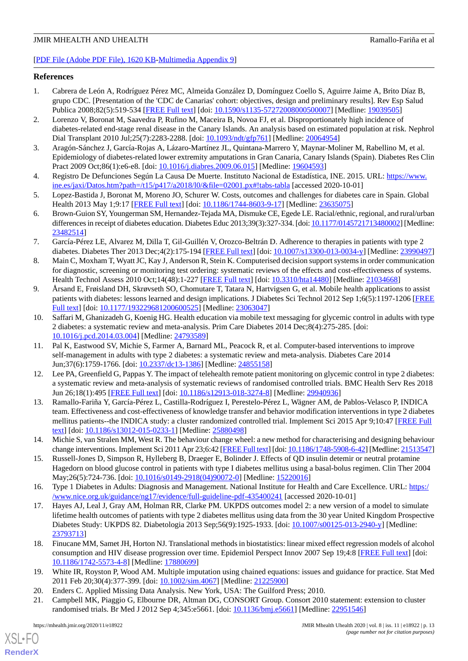# [PDF File (Adobe PDF File), 1620 KB-Multimedia Appendix 9]

### **References**

- 1. Cabrera de León A, Rodríguez Pérez MC, Almeida González D, Domínguez Coello S, Aguirre Jaime A, Brito Díaz B, grupo CDC. [Presentation of the 'CDC de Canarias' cohort: objectives, design and preliminary results]. Rev Esp Salud Publica 2008;82(5):519-534 [FREE Full text] [doi: 10.1590/s1135-57272008000500007] [Medline: 19039505]
- 2. Lorenzo V, Boronat M, Saavedra P, Rufino M, Maceira B, Novoa FJ, et al. Disproportionately high incidence of diabetes-related end-stage renal disease in the Canary Islands. An analysis based on estimated population at risk. Nephrol Dial Transplant 2010 Jul;25(7):2283-2288. [doi: 10.1093/ndt/gfp761] [Medline: 20064954]
- 3. Aragón-Sánchez J, García-Rojas A, Lázaro-Martínez JL, Quintana-Marrero Y, Maynar-Moliner M, Rabellino M, et al. Epidemiology of diabetes-related lower extremity amputations in Gran Canaria, Canary Islands (Spain). Diabetes Res Clin Pract 2009 Oct;86(1):e6-e8. [doi: 10.1016/j.diabres.2009.06.015] [Medline: 19604593]
- 4. Registro De Defunciones Según La Causa De Muerte. Instituto Nacional de Estadística, INE. 2015. URL: https://www. ine.es/jaxi/Datos.htm?path=/t15/p417/a2018/l0/&file=02001.px#!tabs-tabla [accessed 2020-10-01]
- 5. Lopez-Bastida J, Boronat M, Moreno JO, Schurer W. Costs, outcomes and challenges for diabetes care in Spain. Global Health 2013 May 1;9:17 [FREE Full text] [doi: 10.1186/1744-8603-9-17] [Medline: 23635075]
- 6. Brown-Guion SY, Youngerman SM, Hernandez-Tejada MA, Dismuke CE, Egede LE. Racial/ethnic, regional, and rural/urban differences in receipt of diabetes education. Diabetes Educ 2013;39(3):327-334. [doi: 10.1177/0145721713480002] [Medline: 23482514]
- 7. García-Pérez LE, Alvarez M, Dilla T, Gil-Guillén V, Orozco-Beltrán D. Adherence to therapies in patients with type 2 diabetes. Diabetes Ther 2013 Dec;4(2):175-194 [FREE Full text] [doi: 10.1007/s13300-013-0034-y] [Medline: 23990497]
- 8. Main C, Moxham T, Wyatt JC, Kay J, Anderson R, Stein K. Computerised decision support systems in order communication for diagnostic, screening or monitoring test ordering: systematic reviews of the effects and cost-effectiveness of systems. Health Technol Assess 2010 Oct;14(48):1-227 [FREE Full text] [doi: 10.3310/hta14480] [Medline: 21034668]
- 9. Årsand E, Frøisland DH, Skrøvseth SO, Chomutare T, Tatara N, Hartvigsen G, et al. Mobile health applications to assist patients with diabetes: lessons learned and design implications. J Diabetes Sci Technol 2012 Sep 1;6(5):1197-1206 [FREE Full text] [doi: 10.1177/193229681200600525] [Medline: 23063047]
- 10. Saffari M, Ghanizadeh G, Koenig HG. Health education via mobile text messaging for glycemic control in adults with type 2 diabetes: a systematic review and meta-analysis. Prim Care Diabetes 2014 Dec;8(4):275-285. [doi: 10.1016/j.pcd.2014.03.004] [Medline: 24793589]
- 11. Pal K, Eastwood SV, Michie S, Farmer A, Barnard ML, Peacock R, et al. Computer-based interventions to improve self-management in adults with type 2 diabetes: a systematic review and meta-analysis. Diabetes Care 2014 Jun;37(6):1759-1766. [doi: 10.2337/dc13-1386] [Medline: 24855158]
- 12. Lee PA, Greenfield G, Pappas Y. The impact of telehealth remote patient monitoring on glycemic control in type 2 diabetes: a systematic review and meta-analysis of systematic reviews of randomised controlled trials. BMC Health Serv Res 2018 Jun 26;18(1):495 [FREE Full text] [doi: 10.1186/s12913-018-3274-8] [Medline: 29940936]
- 13. Ramallo-Fariña Y, García-Pérez L, Castilla-Rodríguez I, Perestelo-Pérez L, Wägner AM, de Pablos-Velasco P, INDICA team. Effectiveness and cost-effectiveness of knowledge transfer and behavior modification interventions in type 2 diabetes mellitus patients--the INDICA study: a cluster randomized controlled trial. Implement Sci 2015 Apr 9;10:47 [FREE Full text] [doi: 10.1186/s13012-015-0233-1] [Medline: 25880498]
- 14. Michie S, van Stralen MM, West R. The behaviour change wheel: a new method for characterising and designing behaviour change interventions. Implement Sci 2011 Apr 23;6:42 [FREE Full text] [doi: 10.1186/1748-5908-6-42] [Medline: 21513547]
- 15. Russell-Jones D, Simpson R, Hylleberg B, Draeger E, Bolinder J. Effects of QD insulin detemir or neutral protamine Hagedorn on blood glucose control in patients with type I diabetes mellitus using a basal-bolus regimen. Clin Ther 2004 May;26(5):724-736. [doi: 10.1016/s0149-2918(04)90072-0] [Medline: 15220016]
- 16. Type 1 Diabetes in Adults: Diagnosis and Management. National Institute for Health and Care Excellence. URL: https:/ /www.nice.org.uk/guidance/ng17/evidence/full-guideline-pdf-435400241 [accessed 2020-10-01]
- 17. Hayes AJ, Leal J, Gray AM, Holman RR, Clarke PM. UKPDS outcomes model 2: a new version of a model to simulate lifetime health outcomes of patients with type 2 diabetes mellitus using data from the 30 year United Kingdom Prospective Diabetes Study: UKPDS 82. Diabetologia 2013 Sep;56(9):1925-1933. [doi: 10.1007/s00125-013-2940-y] [Medline: 23793713]
- 18. Finucane MM, Samet JH, Horton NJ. Translational methods in biostatistics: linear mixed effect regression models of alcohol consumption and HIV disease progression over time. Epidemiol Perspect Innov 2007 Sep 19;4:8 [FREE Full text] [doi: 10.1186/1742-5573-4-8] [Medline: 17880699]
- 19. White IR, Royston P, Wood AM. Multiple imputation using chained equations: issues and guidance for practice. Stat Med 2011 Feb 20;30(4):377-399. [doi: 10.1002/sim.4067] [Medline: 21225900]
- 20. Enders C. Applied Missing Data Analysis. New York, USA: The Guilford Press; 2010.
- 21. Campbell MK, Piaggio G, Elbourne DR, Altman DG, CONSORT Group. Consort 2010 statement: extension to cluster randomised trials. Br Med J 2012 Sep 4;345:e5661. [doi: 10.1136/bmj.e5661] [Medline: 22951546]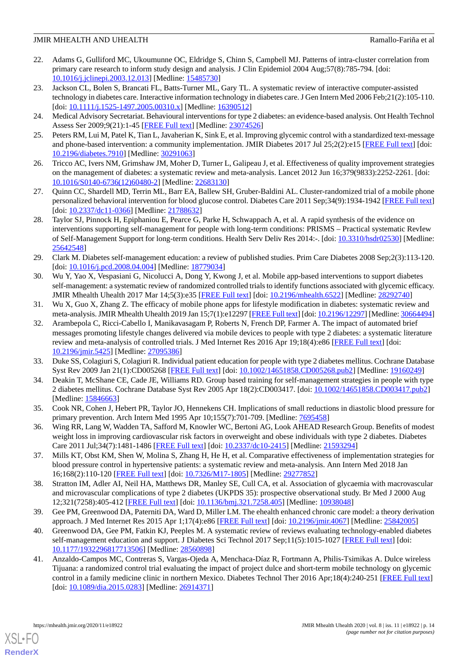- 22. Adams G, Gulliford MC, Ukoumunne OC, Eldridge S, Chinn S, Campbell MJ. Patterns of intra-cluster correlation from primary care research to inform study design and analysis. J Clin Epidemiol 2004 Aug;57(8):785-794. [doi: 10.1016/j.jclinepi.2003.12.013] [Medline: 15485730]
- 23. Jackson CL, Bolen S, Brancati FL, Batts-Turner ML, Gary TL. A systematic review of interactive computer-assisted technology in diabetes care. Interactive information technology in diabetes care. J Gen Intern Med 2006 Feb;21(2):105-110. [doi: 10.1111/j.1525-1497.2005.00310.x] [Medline: 16390512]
- 24. Medical Advisory Secretariat. Behavioural interventions for type 2 diabetes: an evidence-based analysis. Ont Health Technol Assess Ser 2009;9(21):1-45 [FREE Full text] [Medline: 23074526]
- 25. Peters RM, Lui M, Patel K, Tian L, Javaherian K, Sink E, et al. Improving glycemic control with a standardized text-message and phone-based intervention: a community implementation. JMIR Diabetes 2017 Jul 25;2(2):e15 [FREE Full text] [doi: 10.2196/diabetes.7910] [Medline: 30291063]
- 26. Tricco AC, Ivers NM, Grimshaw JM, Moher D, Turner L, Galipeau J, et al. Effectiveness of quality improvement strategies on the management of diabetes: a systematic review and meta-analysis. Lancet 2012 Jun 16;379(9833):2252-2261. [doi: 10.1016/S0140-6736(12)60480-2] [Medline: 22683130]
- 27. Quinn CC, Shardell MD, Terrin ML, Barr EA, Ballew SH, Gruber-Baldini AL. Cluster-randomized trial of a mobile phone personalized behavioral intervention for blood glucose control. Diabetes Care 2011 Sep;34(9):1934-1942 [FREE Full text] [doi: 10.2337/dc11-0366] [Medline: 21788632]
- 28. Taylor SJ, Pinnock H, Epiphaniou E, Pearce G, Parke H, Schwappach A, et al. A rapid synthesis of the evidence on interventions supporting self-management for people with long-term conditions: PRISMS – Practical systematic RevIew of Self-Management Support for long-term conditions. Health Serv Deliv Res 2014:-. [doi: 10.3310/hsdr02530] [Medline: 25642548]
- 29. Clark M. Diabetes self-management education: a review of published studies. Prim Care Diabetes 2008 Sep;2(3):113-120. [doi: 10.1016/j.pcd.2008.04.004] [Medline: 18779034]
- 30. Wu Y, Yao X, Vespasiani G, Nicolucci A, Dong Y, Kwong J, et al. Mobile app-based interventions to support diabetes self-management: a systematic review of randomized controlled trials to identify functions associated with glycemic efficacy. JMIR Mhealth Uhealth 2017 Mar 14;5(3):e35 [FREE Full text] [doi: 10.2196/mhealth.6522] [Medline: 28292740]
- 31. Wu X, Guo X, Zhang Z. The efficacy of mobile phone apps for lifestyle modification in diabetes: systematic review and meta-analysis. JMIR Mhealth Uhealth 2019 Jan 15;7(1):e12297 [FREE Full text] [doi: 10.2196/12297] [Medline: 30664494]
- 32. Arambepola C, Ricci-Cabello I, Manikavasagam P, Roberts N, French DP, Farmer A. The impact of automated brief messages promoting lifestyle changes delivered via mobile devices to people with type 2 diabetes: a systematic literature review and meta-analysis of controlled trials. J Med Internet Res 2016 Apr 19;18(4):e86 [FREE Full text] [doi: 10.2196/jmir.5425] [Medline: 27095386]
- 33. Duke SS, Colagiuri S, Colagiuri R. Individual patient education for people with type 2 diabetes mellitus. Cochrane Database Syst Rev 2009 Jan 21(1):CD005268 [FREE Full text] [doi: 10.1002/14651858.CD005268.pub2] [Medline: 19160249]
- 34. Deakin T, McShane CE, Cade JE, Williams RD. Group based training for self-management strategies in people with type 2 diabetes mellitus. Cochrane Database Syst Rev 2005 Apr 18(2):CD003417. [doi: 10.1002/14651858.CD003417.pub2] [Medline: 15846663]
- 35. Cook NR, Cohen J, Hebert PR, Taylor JO, Hennekens CH. Implications of small reductions in diastolic blood pressure for primary prevention. Arch Intern Med 1995 Apr 10;155(7):701-709. [Medline: 7695458]
- 36. Wing RR, Lang W, Wadden TA, Safford M, Knowler WC, Bertoni AG, Look AHEAD Research Group. Benefits of modest weight loss in improving cardiovascular risk factors in overweight and obese individuals with type 2 diabetes. Diabetes Care 2011 Jul;34(7):1481-1486 [FREE Full text] [doi: 10.2337/dc10-2415] [Medline: 21593294]
- 37. Mills KT, Obst KM, Shen W, Molina S, Zhang H, He H, et al. Comparative effectiveness of implementation strategies for blood pressure control in hypertensive patients: a systematic review and meta-analysis. Ann Intern Med 2018 Jan 16;168(2):110-120 [FREE Full text] [doi: 10.7326/M17-1805] [Medline: 29277852]
- 38. Stratton IM, Adler AI, Neil HA, Matthews DR, Manley SE, Cull CA, et al. Association of glycaemia with macrovascular and microvascular complications of type 2 diabetes (UKPDS 35): prospective observational study. Br Med J 2000 Aug 12;321(7258):405-412 [FREE Full text] [doi: 10.1136/bmj.321.7258.405] [Medline: 10938048]
- 39. Gee PM, Greenwood DA, Paterniti DA, Ward D, Miller LM. The ehealth enhanced chronic care model: a theory derivation approach. J Med Internet Res 2015 Apr 1;17(4):e86 [FREE Full text] [doi: 10.2196/jmir.4067] [Medline: 25842005]
- 40. Greenwood DA, Gee PM, Fatkin KJ, Peeples M. A systematic review of reviews evaluating technology-enabled diabetes self-management education and support. J Diabetes Sci Technol 2017 Sep;11(5):1015-1027 [FREE Full text] [doi: 10.1177/1932296817713506] [Medline: 28560898]
- 41. Anzaldo-Campos MC, Contreras S, Vargas-Ojeda A, Menchaca-Díaz R, Fortmann A, Philis-Tsimikas A. Dulce wireless Tijuana: a randomized control trial evaluating the impact of project dulce and short-term mobile technology on glycemic control in a family medicine clinic in northern Mexico. Diabetes Technol Ther 2016 Apr;18(4):240-251 [FREE Full text] [doi: 10.1089/dia.2015.0283] [Medline: 26914371]